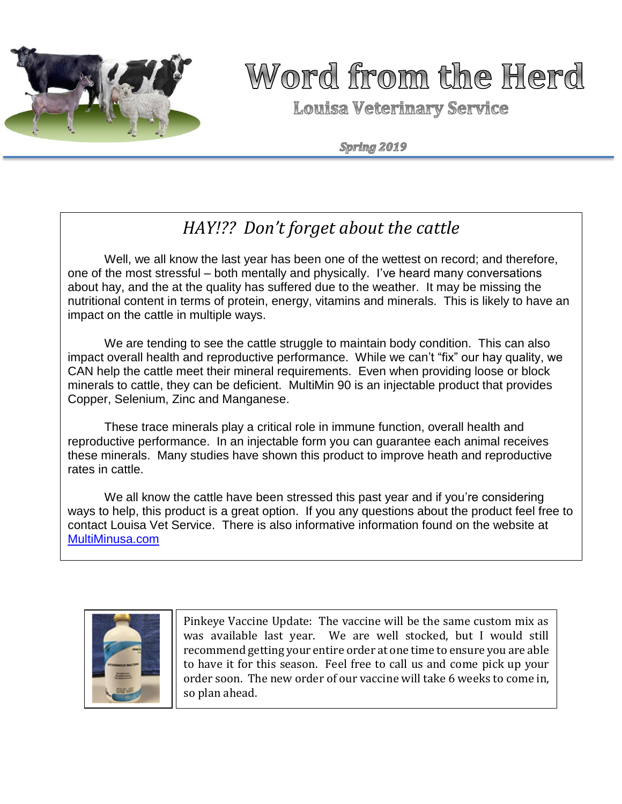

# Word from the Herd

**Louisa Veterinary Service** 

Spring 2019

# *HAY!?? Don't forget about the cattle*

Well, we all know the last year has been one of the wettest on record; and therefore, one of the most stressful – both mentally and physically. I've heard many conversations about hay, and the at the quality has suffered due to the weather. It may be missing the nutritional content in terms of protein, energy, vitamins and minerals. This is likely to have an impact on the cattle in multiple ways.

We are tending to see the cattle struggle to maintain body condition. This can also impact overall health and reproductive performance. While we can't "fix" our hay quality, we CAN help the cattle meet their mineral requirements. Even when providing loose or block minerals to cattle, they can be deficient. MultiMin 90 is an injectable product that provides Copper, Selenium, Zinc and Manganese.

These trace minerals play a critical role in immune function, overall health and reproductive performance. In an injectable form you can guarantee each animal receives these minerals. Many studies have shown this product to improve heath and reproductive rates in cattle.

We all know the cattle have been stressed this past year and if you're considering ways to help, this product is a great option. If you any questions about the product feel free to contact Louisa Vet Service. There is also informative information found on the website at [MultiMinusa.com](http://www.multiminusa.com/)



Pinkeye Vaccine Update: The vaccine will be the same custom mix as was available last year. We are well stocked, but I would still recommend getting your entire order at one time to ensure you are able to have it for this season. Feel free to call us and come pick up your order soon. The new order of our vaccine will take 6 weeks to come in, so plan ahead.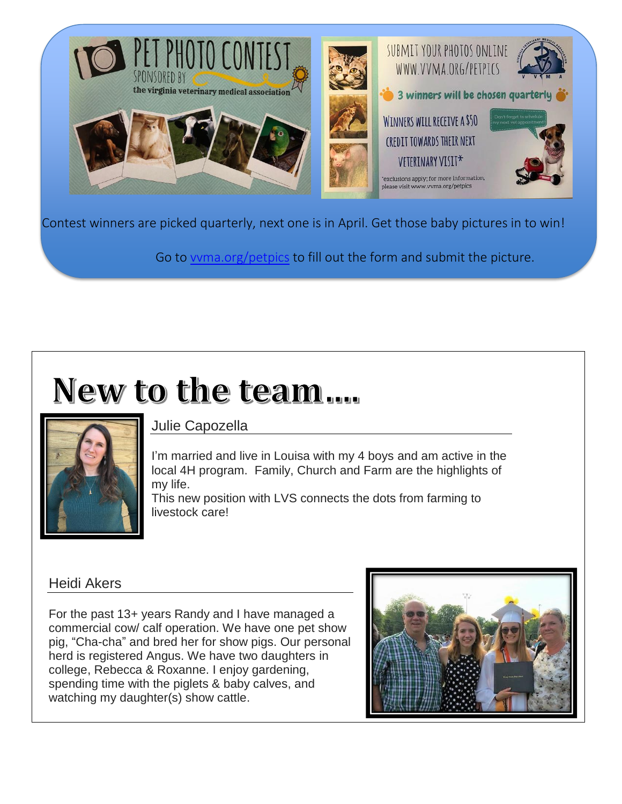

Contest winners are picked quarterly, next one is in April. Get those baby pictures in to win!

Go to [vvma.org/petpics](http://www.vvma.org/petpics) to fill out the form and submit the picture.

# New to the team....



### Julie Capozella

I'm married and live in Louisa with my 4 boys and am active in the local 4H program. Family, Church and Farm are the highlights of my life.

This new position with LVS connects the dots from farming to livestock care!

#### Heidi Akers

For the past 13+ years Randy and I have managed a commercial cow/ calf operation. We have one pet show pig, "Cha-cha" and bred her for show pigs. Our personal herd is registered Angus. We have two daughters in college, Rebecca & Roxanne. I enjoy gardening, spending time with the piglets & baby calves, and watching my daughter(s) show cattle.

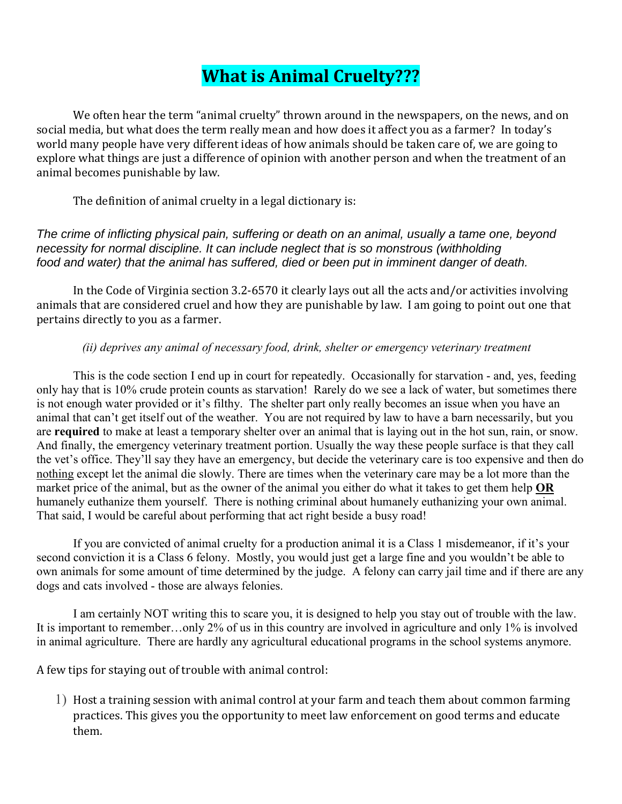## **What is Animal Cruelty???**

We often hear the term "animal cruelty" thrown around in the newspapers, on the news, and on social media, but what does the term really mean and how does it affect you as a farmer? In today's world many people have very different ideas of how animals should be taken care of, we are going to explore what things are just a difference of opinion with another person and when the treatment of an animal becomes punishable by law.

The definition of animal cruelty in a legal dictionary is:

*The crime of inflicting physical pain, suffering or death on an animal, usually a tame one, beyond necessity for normal discipline. It can include neglect that is so monstrous (withholding food and water) that the animal has suffered, died or been put in imminent danger of death.*

In the Code of Virginia section 3.2-6570 it clearly lays out all the acts and/or activities involving animals that are considered cruel and how they are punishable by law. I am going to point out one that pertains directly to you as a farmer.

#### *(ii) deprives any animal of necessary food, drink, shelter or emergency veterinary treatment*

This is the code section I end up in court for repeatedly. Occasionally for starvation - and, yes, feeding only hay that is 10% crude protein counts as starvation! Rarely do we see a lack of water, but sometimes there is not enough water provided or it's filthy. The shelter part only really becomes an issue when you have an animal that can't get itself out of the weather. You are not required by law to have a barn necessarily, but you are **required** to make at least a temporary shelter over an animal that is laying out in the hot sun, rain, or snow. And finally, the emergency veterinary treatment portion. Usually the way these people surface is that they call the vet's office. They'll say they have an emergency, but decide the veterinary care is too expensive and then do nothing except let the animal die slowly. There are times when the veterinary care may be a lot more than the market price of the animal, but as the owner of the animal you either do what it takes to get them help **OR** humanely euthanize them yourself. There is nothing criminal about humanely euthanizing your own animal. That said, I would be careful about performing that act right beside a busy road!

If you are convicted of animal cruelty for a production animal it is a Class 1 misdemeanor, if it's your second conviction it is a Class 6 felony. Mostly, you would just get a large fine and you wouldn't be able to own animals for some amount of time determined by the judge. A felony can carry jail time and if there are any dogs and cats involved - those are always felonies.

I am certainly NOT writing this to scare you, it is designed to help you stay out of trouble with the law. It is important to remember…only 2% of us in this country are involved in agriculture and only 1% is involved in animal agriculture. There are hardly any agricultural educational programs in the school systems anymore.

A few tips for staying out of trouble with animal control:

1) Host a training session with animal control at your farm and teach them about common farming practices. This gives you the opportunity to meet law enforcement on good terms and educate them.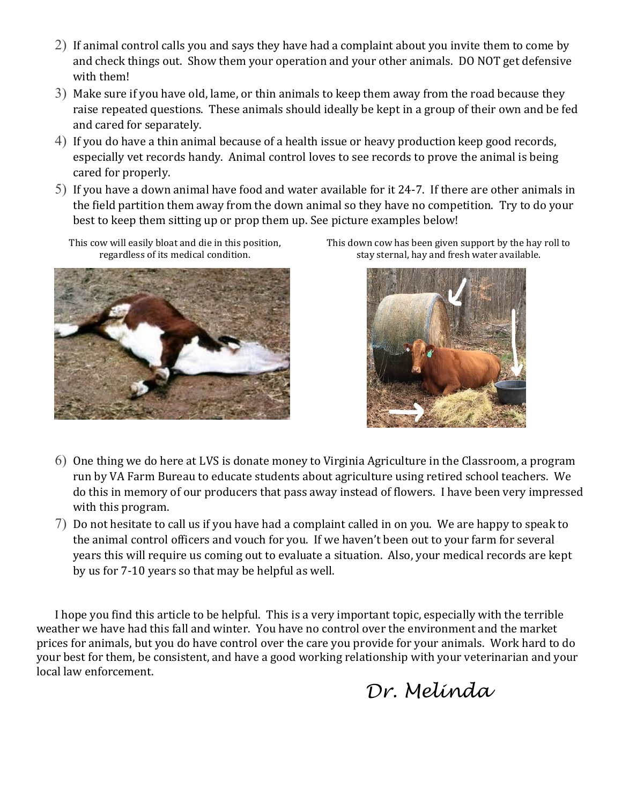- 2) If animal control calls you and says they have had a complaint about you invite them to come by and check things out. Show them your operation and your other animals. DO NOT get defensive with them!
- 3) Make sure if you have old, lame, or thin animals to keep them away from the road because they raise repeated questions. These animals should ideally be kept in a group of their own and be fed and cared for separately.
- 4) If you do have a thin animal because of a health issue or heavy production keep good records, especially vet records handy. Animal control loves to see records to prove the animal is being cared for properly.
- 5) If you have a down animal have food and water available for it 24-7. If there are other animals in the field partition them away from the down animal so they have no competition. Try to do your best to keep them sitting up or prop them up. See picture examples below!

This cow will easily bloat and die in this position, regardless of its medical condition.



This down cow has been given support by the hay roll to stay sternal, hay and fresh water available.



- 6) One thing we do here at LVS is donate money to Virginia Agriculture in the Classroom, a program run by VA Farm Bureau to educate students about agriculture using retired school teachers. We do this in memory of our producers that pass away instead of flowers. I have been very impressed with this program.
- 7) Do not hesitate to call us if you have had a complaint called in on you. We are happy to speak to the animal control officers and vouch for you. If we haven't been out to your farm for several years this will require us coming out to evaluate a situation. Also, your medical records are kept by us for 7-10 years so that may be helpful as well.

I hope you find this article to be helpful. This is a very important topic, especially with the terrible weather we have had this fall and winter. You have no control over the environment and the market prices for animals, but you do have control over the care you provide for your animals. Work hard to do your best for them, be consistent, and have a good working relationship with your veterinarian and your local law enforcement.

 *Dr. Melinda*